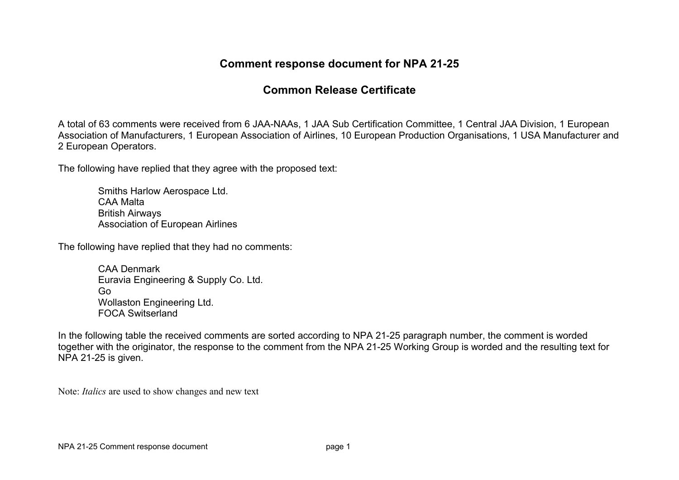## **Comment response document for NPA 21-25**

## **Common Release Certificate**

A total of 63 comments were received from 6 JAA-NAAs, 1 JAA Sub Certification Committee, 1 Central JAA Division, 1 European Association of Manufacturers, 1 European Association of Airlines, 10 European Production Organisations, 1 USA Manufacturer and 2 European Operators.

The following have replied that they agree with the proposed text:

Smiths Harlow Aerospace Ltd. CAA Malta British Airways Association of European Airlines

The following have replied that they had no comments:

CAA Denmark Euravia Engineering & Supply Co. Ltd. Go Wollaston Engineering Ltd. FOCA Switserland

In the following table the received comments are sorted according to NPA 21-25 paragraph number, the comment is worded together with the originator, the response to the comment from the NPA 21-25 Working Group is worded and the resulting text for NPA 21-25 is given.

Note: *Italics* are used to show changes and new text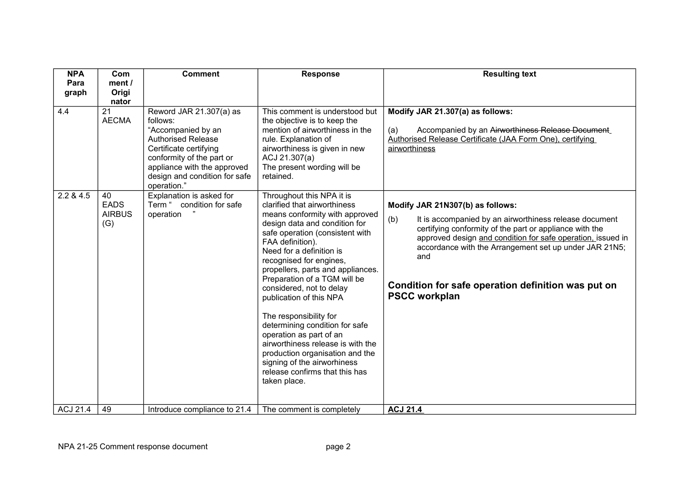| <b>NPA</b><br>Para | Com<br>ment /                             | <b>Comment</b>                                                                                                                                                                                                               | <b>Response</b>                                                                                                                                                                                                                                                                                                                                                                                                                                                                                                                                                                                                        | <b>Resulting text</b>                                                                                                                                                                                                                                                                                                                                                      |
|--------------------|-------------------------------------------|------------------------------------------------------------------------------------------------------------------------------------------------------------------------------------------------------------------------------|------------------------------------------------------------------------------------------------------------------------------------------------------------------------------------------------------------------------------------------------------------------------------------------------------------------------------------------------------------------------------------------------------------------------------------------------------------------------------------------------------------------------------------------------------------------------------------------------------------------------|----------------------------------------------------------------------------------------------------------------------------------------------------------------------------------------------------------------------------------------------------------------------------------------------------------------------------------------------------------------------------|
| graph              | Origi<br>nator                            |                                                                                                                                                                                                                              |                                                                                                                                                                                                                                                                                                                                                                                                                                                                                                                                                                                                                        |                                                                                                                                                                                                                                                                                                                                                                            |
| 4.4                | 21<br><b>AECMA</b>                        | Reword JAR 21.307(a) as<br>follows:<br>"Accompanied by an<br><b>Authorised Release</b><br>Certificate certifying<br>conformity of the part or<br>appliance with the approved<br>design and condition for safe<br>operation." | This comment is understood but<br>the objective is to keep the<br>mention of airworthiness in the<br>rule. Explanation of<br>airworthiness is given in new<br>ACJ 21.307(a)<br>The present wording will be<br>retained.                                                                                                                                                                                                                                                                                                                                                                                                | Modify JAR 21.307(a) as follows:<br>Accompanied by an Airworthiness Release Document<br>(a)<br>Authorised Release Certificate (JAA Form One), certifying<br>airworthiness                                                                                                                                                                                                  |
| 2.2 & 4.5          | 40<br><b>EADS</b><br><b>AIRBUS</b><br>(G) | Explanation is asked for<br>Term " condition for safe<br>operation                                                                                                                                                           | Throughout this NPA it is<br>clarified that airworthiness<br>means conformity with approved<br>design data and condition for<br>safe operation (consistent with<br>FAA definition).<br>Need for a definition is<br>recognised for engines,<br>propellers, parts and appliances.<br>Preparation of a TGM will be<br>considered, not to delay<br>publication of this NPA<br>The responsibility for<br>determining condition for safe<br>operation as part of an<br>airworthiness release is with the<br>production organisation and the<br>signing of the airworhiness<br>release confirms that this has<br>taken place. | Modify JAR 21N307(b) as follows:<br>(b)<br>It is accompanied by an airworthiness release document<br>certifying conformity of the part or appliance with the<br>approved design and condition for safe operation, issued in<br>accordance with the Arrangement set up under JAR 21N5;<br>and<br>Condition for safe operation definition was put on<br><b>PSCC workplan</b> |
| <b>ACJ 21.4</b>    | 49                                        | Introduce compliance to 21.4                                                                                                                                                                                                 | The comment is completely                                                                                                                                                                                                                                                                                                                                                                                                                                                                                                                                                                                              | <b>ACJ 21.4</b>                                                                                                                                                                                                                                                                                                                                                            |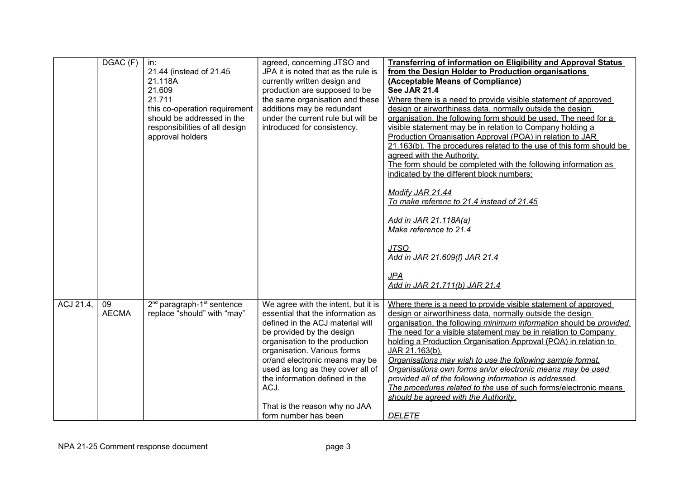|           | DGAC (F)           | in:<br>21.44 (instead of 21.45<br>21.118A<br>21.609<br>21.711<br>this co-operation requirement<br>should be addressed in the<br>responsibilities of all design<br>approval holders | agreed, concerning JTSO and<br>JPA it is noted that as the rule is<br>currently written design and<br>production are supposed to be<br>the same organisation and these<br>additions may be redundant<br>under the current rule but will be<br>introduced for consistency.                                                                                                            | <b>Transferring of information on Eligibility and Approval Status</b><br>from the Design Holder to Production organisations<br>(Acceptable Means of Compliance)<br><b>See JAR 21.4</b><br>Where there is a need to provide visible statement of approved<br>design or airworthiness data, normally outside the design<br>organisation, the following form should be used. The need for a<br>visible statement may be in relation to Company holding a<br>Production Organisation Approval (POA) in relation to JAR<br>21.163(b). The procedures related to the use of this form should be<br>agreed with the Authority.<br>The form should be completed with the following information as<br>indicated by the different block numbers:<br>Modify JAR 21.44<br>To make referenc to 21.4 instead of 21.45<br>Add in JAR 21.118A(a)<br>Make reference to 21.4<br><b>JTSO</b><br>Add in JAR 21.609(f) JAR 21.4<br><b>JPA</b><br>Add in JAR 21.711(b) JAR 21.4 |
|-----------|--------------------|------------------------------------------------------------------------------------------------------------------------------------------------------------------------------------|--------------------------------------------------------------------------------------------------------------------------------------------------------------------------------------------------------------------------------------------------------------------------------------------------------------------------------------------------------------------------------------|-----------------------------------------------------------------------------------------------------------------------------------------------------------------------------------------------------------------------------------------------------------------------------------------------------------------------------------------------------------------------------------------------------------------------------------------------------------------------------------------------------------------------------------------------------------------------------------------------------------------------------------------------------------------------------------------------------------------------------------------------------------------------------------------------------------------------------------------------------------------------------------------------------------------------------------------------------------|
| ACJ 21.4, | 09<br><b>AECMA</b> | 2 <sup>nd</sup> paragraph-1 <sup>st</sup> sentence<br>replace "should" with "may"                                                                                                  | We agree with the intent, but it is<br>essential that the information as<br>defined in the ACJ material will<br>be provided by the design<br>organisation to the production<br>organisation. Various forms<br>or/and electronic means may be<br>used as long as they cover all of<br>the information defined in the<br>ACJ.<br>That is the reason why no JAA<br>form number has been | Where there is a need to provide visible statement of approved<br>design or airworthiness data, normally outside the design<br>organisation, the following minimum information should be provided.<br>The need for a visible statement may be in relation to Company<br>holding a Production Organisation Approval (POA) in relation to<br>JAR 21.163(b).<br>Organisations may wish to use the following sample format.<br>Organisations own forms an/or electronic means may be used<br>provided all of the following information is addressed.<br>The procedures related to the use of such forms/electronic means<br>should be agreed with the Authority.<br><b>DELETE</b>                                                                                                                                                                                                                                                                             |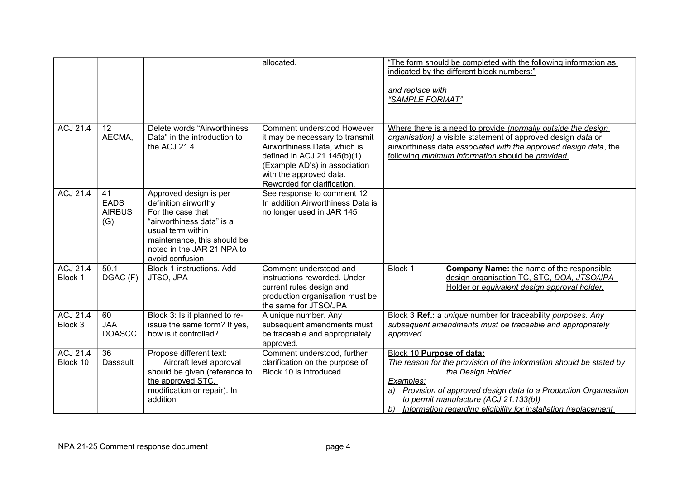|                             |                                           |                                                                                                                                                                                                       | allocated.                                                                                                                                                                                                              | "The form should be completed with the following information as<br>indicated by the different block numbers:"<br>and replace with<br>"SAMPLE FORMAT"                                                                                                                                                                          |
|-----------------------------|-------------------------------------------|-------------------------------------------------------------------------------------------------------------------------------------------------------------------------------------------------------|-------------------------------------------------------------------------------------------------------------------------------------------------------------------------------------------------------------------------|-------------------------------------------------------------------------------------------------------------------------------------------------------------------------------------------------------------------------------------------------------------------------------------------------------------------------------|
| <b>ACJ 21.4</b>             | 12<br>AECMA,                              | Delete words "Airworthiness"<br>Data" in the introduction to<br>the ACJ 21.4                                                                                                                          | Comment understood However<br>it may be necessary to transmit<br>Airworthiness Data, which is<br>defined in ACJ 21.145(b)(1)<br>(Example AD's) in association<br>with the approved data.<br>Reworded for clarification. | Where there is a need to provide (normally outside the design<br>organisation) a visible statement of approved design data or<br>airworthiness data associated with the approved design data, the<br>following minimum information should be provided.                                                                        |
| <b>ACJ 21.4</b>             | 41<br><b>EADS</b><br><b>AIRBUS</b><br>(G) | Approved design is per<br>definition airworthy<br>For the case that<br>"airworthiness data" is a<br>usual term within<br>maintenance, this should be<br>noted in the JAR 21 NPA to<br>avoid confusion | See response to comment 12<br>In addition Airworthiness Data is<br>no longer used in JAR 145                                                                                                                            |                                                                                                                                                                                                                                                                                                                               |
| <b>ACJ 21.4</b><br>Block 1  | 50.1<br>DGAC (F)                          | Block 1 instructions. Add<br>JTSO, JPA                                                                                                                                                                | Comment understood and<br>instructions reworded. Under<br>current rules design and<br>production organisation must be<br>the same for JTSO/JPA                                                                          | Block 1<br><b>Company Name:</b> the name of the responsible<br>design organisation TC, STC, DOA, JTSO/JPA<br>Holder or equivalent design approval holder.                                                                                                                                                                     |
| <b>ACJ 21.4</b><br>Block 3  | 60<br><b>JAA</b><br><b>DOASCC</b>         | Block 3: Is it planned to re-<br>issue the same form? If yes,<br>how is it controlled?                                                                                                                | A unique number. Any<br>subsequent amendments must<br>be traceable and appropriately<br>approved.                                                                                                                       | Block 3 Ref.: a unique number for traceability purposes. Any<br>subsequent amendments must be traceable and appropriately<br>approved.                                                                                                                                                                                        |
| <b>ACJ 21.4</b><br>Block 10 | 36<br>Dassault                            | Propose different text:<br>Aircraft level approval<br>should be given (reference to<br>the approved STC.<br>modification or repair). In<br>addition                                                   | Comment understood, further<br>clarification on the purpose of<br>Block 10 is introduced.                                                                                                                               | Block 10 Purpose of data:<br>The reason for the provision of the information should be stated by<br>the Design Holder.<br>Examples:<br>Provision of approved design data to a Production Organisation<br>a)<br>to permit manufacture (ACJ 21.133(b))<br>Information regarding eligibility for installation (replacement<br>b) |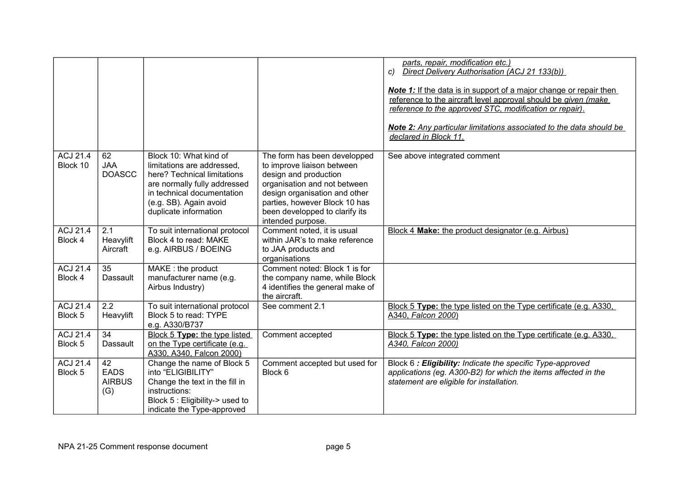|                             |                                           |                                                                                                                                                                                                      |                                                                                                                                                                                                                                              | parts, repair, modification etc.)<br>Direct Delivery Authorisation (ACJ 21 133(b))<br>C)<br><b>Note 1:</b> If the data is in support of a major change or repair then<br>reference to the aircraft level approval should be given (make<br>reference to the approved STC, modification or repair).<br>Note 2: Any particular limitations associated to the data should be<br>declared in Block 11. |
|-----------------------------|-------------------------------------------|------------------------------------------------------------------------------------------------------------------------------------------------------------------------------------------------------|----------------------------------------------------------------------------------------------------------------------------------------------------------------------------------------------------------------------------------------------|----------------------------------------------------------------------------------------------------------------------------------------------------------------------------------------------------------------------------------------------------------------------------------------------------------------------------------------------------------------------------------------------------|
| <b>ACJ 21.4</b><br>Block 10 | 62<br><b>JAA</b><br><b>DOASCC</b>         | Block 10: What kind of<br>limitations are addressed.<br>here? Technical limitations<br>are normally fully addressed<br>in technical documentation<br>(e.g. SB). Again avoid<br>duplicate information | The form has been developped<br>to improve liaison between<br>design and production<br>organisation and not between<br>design organisation and other<br>parties, however Block 10 has<br>been developped to clarify its<br>intended purpose. | See above integrated comment                                                                                                                                                                                                                                                                                                                                                                       |
| <b>ACJ 21.4</b><br>Block 4  | 2.1<br>Heavylift<br>Aircraft              | To suit international protocol<br>Block 4 to read: MAKE<br>e.g. AIRBUS / BOEING                                                                                                                      | Comment noted, it is usual<br>within JAR's to make reference<br>to JAA products and<br>organisations                                                                                                                                         | Block 4 Make: the product designator (e.g. Airbus)                                                                                                                                                                                                                                                                                                                                                 |
| <b>ACJ 21.4</b><br>Block 4  | 35<br>Dassault                            | MAKE: the product<br>manufacturer name (e.g.<br>Airbus Industry)                                                                                                                                     | Comment noted: Block 1 is for<br>the company name, while Block<br>4 identifies the general make of<br>the aircraft.                                                                                                                          |                                                                                                                                                                                                                                                                                                                                                                                                    |
| ACJ 21.4<br>Block 5         | 2.2<br>Heavylift                          | To suit international protocol<br>Block 5 to read: TYPE<br>e.g. A330/B737                                                                                                                            | See comment 2.1                                                                                                                                                                                                                              | Block 5 Type: the type listed on the Type certificate (e.g. A330,<br>A340, Falcon 2000)                                                                                                                                                                                                                                                                                                            |
| <b>ACJ 21.4</b><br>Block 5  | 34<br>Dassault                            | Block 5 Type: the type listed<br>on the Type certificate (e.g.<br>A330, A340, Falcon 2000)                                                                                                           | Comment accepted                                                                                                                                                                                                                             | Block 5 Type: the type listed on the Type certificate (e.g. A330.<br>A340, Falcon 2000)                                                                                                                                                                                                                                                                                                            |
| ACJ 21.4<br>Block 5         | 42<br><b>EADS</b><br><b>AIRBUS</b><br>(G) | Change the name of Block 5<br>into "ELIGIBILITY"<br>Change the text in the fill in<br>instructions:<br>Block 5 : Eligibility-> used to<br>indicate the Type-approved                                 | Comment accepted but used for<br>Block 6                                                                                                                                                                                                     | Block 6: Eligibility: Indicate the specific Type-approved<br>applications (eg. A300-B2) for which the items affected in the<br>statement are eligible for installation.                                                                                                                                                                                                                            |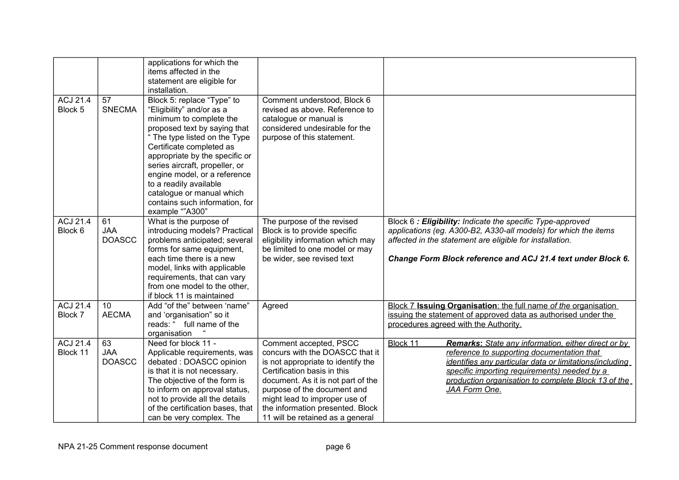|                             |                                   | applications for which the<br>items affected in the<br>statement are eligible for<br>installation.                                                                                                                                                                                                                                                                                              |                                                                                                                                                                                                                                                                                                              |                                                                                                                                                                                                                                                                                                          |
|-----------------------------|-----------------------------------|-------------------------------------------------------------------------------------------------------------------------------------------------------------------------------------------------------------------------------------------------------------------------------------------------------------------------------------------------------------------------------------------------|--------------------------------------------------------------------------------------------------------------------------------------------------------------------------------------------------------------------------------------------------------------------------------------------------------------|----------------------------------------------------------------------------------------------------------------------------------------------------------------------------------------------------------------------------------------------------------------------------------------------------------|
| <b>ACJ 21.4</b><br>Block 5  | 57<br><b>SNECMA</b>               | Block 5: replace "Type" to<br>"Eligibility" and/or as a<br>minimum to complete the<br>proposed text by saying that<br>" The type listed on the Type<br>Certificate completed as<br>appropriate by the specific or<br>series aircraft, propeller, or<br>engine model, or a reference<br>to a readily available<br>catalogue or manual which<br>contains such information, for<br>example ""A300" | Comment understood, Block 6<br>revised as above. Reference to<br>catalogue or manual is<br>considered undesirable for the<br>purpose of this statement.                                                                                                                                                      |                                                                                                                                                                                                                                                                                                          |
| <b>ACJ 21.4</b><br>Block 6  | 61<br><b>JAA</b><br><b>DOASCC</b> | What is the purpose of<br>introducing models? Practical<br>problems anticipated; several<br>forms for same equipment,<br>each time there is a new<br>model, links with applicable<br>requirements, that can vary<br>from one model to the other,<br>if block 11 is maintained                                                                                                                   | The purpose of the revised<br>Block is to provide specific<br>eligibility information which may<br>be limited to one model or may<br>be wider, see revised text                                                                                                                                              | Block 6: Eligibility: Indicate the specific Type-approved<br>applications (eg. A300-B2, A330-all models) for which the items<br>affected in the statement are eligible for installation.<br>Change Form Block reference and ACJ 21.4 text under Block 6.                                                 |
| <b>ACJ 21.4</b><br>Block 7  | 10<br><b>AECMA</b>                | Add "of the" between 'name"<br>and 'organisation" so it<br>reads: " full name of the<br>organisation                                                                                                                                                                                                                                                                                            | Agreed                                                                                                                                                                                                                                                                                                       | Block 7 Issuing Organisation: the full name of the organisation<br>issuing the statement of approved data as authorised under the<br>procedures agreed with the Authority.                                                                                                                               |
| <b>ACJ 21.4</b><br>Block 11 | 63<br><b>JAA</b><br><b>DOASCC</b> | Need for block 11 -<br>Applicable requirements, was<br>debated: DOASCC opinion<br>is that it is not necessary.<br>The objective of the form is<br>to inform on approval status,<br>not to provide all the details<br>of the certification bases, that<br>can be very complex. The                                                                                                               | Comment accepted, PSCC<br>concurs with the DOASCC that it<br>is not appropriate to identify the<br>Certification basis in this<br>document. As it is not part of the<br>purpose of the document and<br>might lead to improper use of<br>the information presented. Block<br>11 will be retained as a general | Block 11<br><b>Remarks:</b> State any information, either direct or by<br>reference to supporting documentation that<br>identifies any particular data or limitations (including<br>specific importing requirements) needed by a<br>production organisation to complete Block 13 of the<br>JAA Form One. |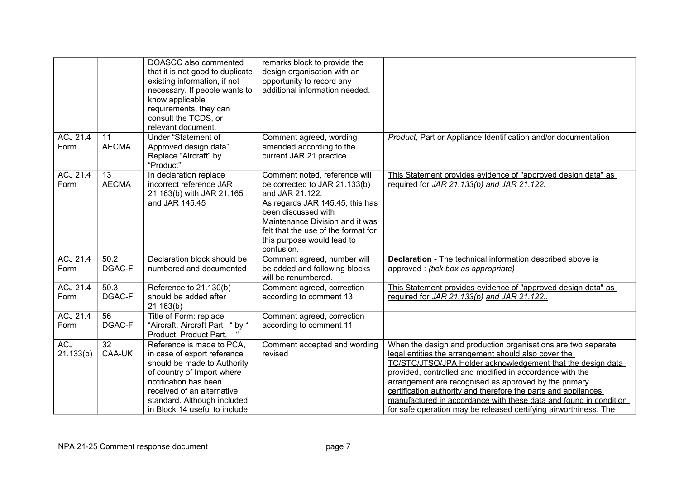|                         |                                 | DOASCC also commented<br>that it is not good to duplicate<br>existing information, if not<br>necessary. If people wants to<br>know applicable<br>requirements, they can<br>consult the TCDS, or<br>relevant document.                        | remarks block to provide the<br>design organisation with an<br>opportunity to record any<br>additional information needed.                                                                                                                                        |                                                                                                                                                                                                                                                                                                                                                                                                                                                                                                                      |
|-------------------------|---------------------------------|----------------------------------------------------------------------------------------------------------------------------------------------------------------------------------------------------------------------------------------------|-------------------------------------------------------------------------------------------------------------------------------------------------------------------------------------------------------------------------------------------------------------------|----------------------------------------------------------------------------------------------------------------------------------------------------------------------------------------------------------------------------------------------------------------------------------------------------------------------------------------------------------------------------------------------------------------------------------------------------------------------------------------------------------------------|
| ACJ 21.4<br>Form        | 11<br><b>AECMA</b>              | Under "Statement of<br>Approved design data"<br>Replace "Aircraft" by<br>"Product"                                                                                                                                                           | Comment agreed, wording<br>amended according to the<br>current JAR 21 practice.                                                                                                                                                                                   | <b>Product.</b> Part or Appliance Identification and/or documentation                                                                                                                                                                                                                                                                                                                                                                                                                                                |
| <b>ACJ 21.4</b><br>Form | $\overline{13}$<br><b>AECMA</b> | In declaration replace<br>incorrect reference JAR<br>21.163(b) with JAR 21.165<br>and JAR 145.45                                                                                                                                             | Comment noted, reference will<br>be corrected to JAR 21.133(b)<br>and JAR 21.122.<br>As regards JAR 145.45, this has<br>been discussed with<br>Maintenance Division and it was<br>felt that the use of the format for<br>this purpose would lead to<br>confusion. | This Statement provides evidence of "approved design data" as<br>required for JAR 21.133(b) and JAR 21.122.                                                                                                                                                                                                                                                                                                                                                                                                          |
| <b>ACJ 21.4</b><br>Form | 50.2<br>DGAC-F                  | Declaration block should be<br>numbered and documented                                                                                                                                                                                       | Comment agreed, number will<br>be added and following blocks<br>will be renumbered.                                                                                                                                                                               | <b>Declaration</b> - The technical information described above is<br>approved : (tick box as appropriate)                                                                                                                                                                                                                                                                                                                                                                                                            |
| <b>ACJ 21.4</b><br>Form | 50.3<br>DGAC-F                  | Reference to 21.130(b)<br>should be added after<br>21.163(b)                                                                                                                                                                                 | Comment agreed, correction<br>according to comment 13                                                                                                                                                                                                             | This Statement provides evidence of "approved design data" as<br>required for JAR 21.133(b) and JAR 21.122                                                                                                                                                                                                                                                                                                                                                                                                           |
| <b>ACJ 21.4</b><br>Form | 56<br>DGAC-F                    | Title of Form: replace<br>"Aircraft, Aircraft Part " by "<br>Product, Product Part,                                                                                                                                                          | Comment agreed, correction<br>according to comment 11                                                                                                                                                                                                             |                                                                                                                                                                                                                                                                                                                                                                                                                                                                                                                      |
| <b>ACJ</b><br>21.133(b) | 32<br>CAA-UK                    | Reference is made to PCA,<br>in case of export reference<br>should be made to Authority<br>of country of Import where<br>notification has been<br>received of an alternative<br>standard. Although included<br>in Block 14 useful to include | Comment accepted and wording<br>revised                                                                                                                                                                                                                           | When the design and production organisations are two separate<br>legal entities the arrangement should also cover the<br>TC/STC/JTSO/JPA Holder acknowledgement that the design data<br>provided, controlled and modified in accordance with the<br>arrangement are recognised as approved by the primary<br>certification authority and therefore the parts and appliances<br>manufactured in accordance with these data and found in condition<br>for safe operation may be released certifying airworthiness. The |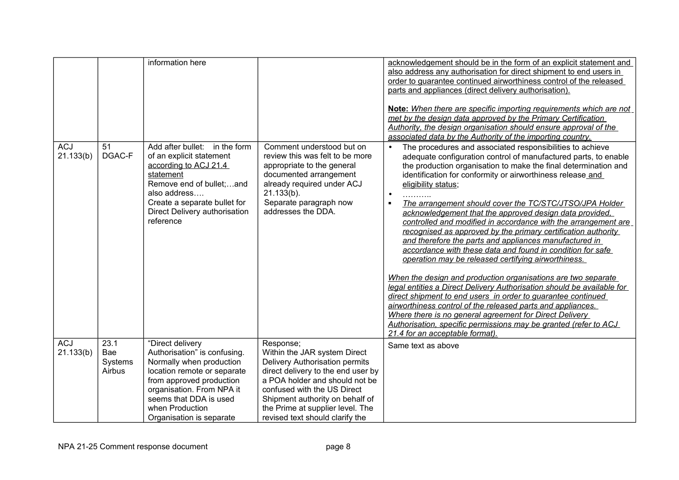|                         |              | information here                                                                                                                                                                                                             |                                                                                                                                                                                                                     | acknowledgement should be in the form of an explicit statement and<br>also address any authorisation for direct shipment to end users in<br>order to quarantee continued airworthiness control of the released<br>parts and appliances (direct delivery authorisation).<br>Note: When there are specific importing requirements which are not<br>met by the design data approved by the Primary Certification<br>Authority, the design organisation should ensure approval of the<br>associated data by the Authority of the importing country.                                                                                                                                                                                                                                                                                                                                                                                                                                                                                                                                                                                                                                                    |
|-------------------------|--------------|------------------------------------------------------------------------------------------------------------------------------------------------------------------------------------------------------------------------------|---------------------------------------------------------------------------------------------------------------------------------------------------------------------------------------------------------------------|----------------------------------------------------------------------------------------------------------------------------------------------------------------------------------------------------------------------------------------------------------------------------------------------------------------------------------------------------------------------------------------------------------------------------------------------------------------------------------------------------------------------------------------------------------------------------------------------------------------------------------------------------------------------------------------------------------------------------------------------------------------------------------------------------------------------------------------------------------------------------------------------------------------------------------------------------------------------------------------------------------------------------------------------------------------------------------------------------------------------------------------------------------------------------------------------------|
| <b>ACJ</b><br>21.133(b) | 51<br>DGAC-F | Add after bullet:<br>in the form<br>of an explicit statement<br>according to ACJ 21.4<br>statement<br>Remove end of bullet;and<br>also address<br>Create a separate bullet for<br>Direct Delivery authorisation<br>reference | Comment understood but on<br>review this was felt to be more<br>appropriate to the general<br>documented arrangement<br>already required under ACJ<br>$21.133(b)$ .<br>Separate paragraph now<br>addresses the DDA. | The procedures and associated responsibilities to achieve<br>$\bullet$<br>adequate configuration control of manufactured parts, to enable<br>the production organisation to make the final determination and<br>identification for conformity or airworthiness release and<br>eligibility status;<br>$\bullet$<br>The arrangement should cover the TC/STC/JTSO/JPA Holder<br>acknowledgement that the approved design data provided.<br>controlled and modified in accordance with the arrangement are<br>recognised as approved by the primary certification authority<br>and therefore the parts and appliances manufactured in<br>accordance with these data and found in condition for safe<br>operation may be released certifying airworthiness.<br>When the design and production organisations are two separate<br>legal entities a Direct Delivery Authorisation should be available for<br>direct shipment to end users in order to quarantee continued<br>airworthiness control of the released parts and appliances.<br>Where there is no general agreement for Direct Delivery<br>Authorisation, specific permissions may be granted (refer to ACJ<br>21.4 for an acceptable format). |
| <b>ACJ</b>              | 23.1         | "Direct delivery                                                                                                                                                                                                             | Response;                                                                                                                                                                                                           | Same text as above                                                                                                                                                                                                                                                                                                                                                                                                                                                                                                                                                                                                                                                                                                                                                                                                                                                                                                                                                                                                                                                                                                                                                                                 |
| 21.133(b)               | Bae          | Authorisation" is confusing.                                                                                                                                                                                                 | Within the JAR system Direct                                                                                                                                                                                        |                                                                                                                                                                                                                                                                                                                                                                                                                                                                                                                                                                                                                                                                                                                                                                                                                                                                                                                                                                                                                                                                                                                                                                                                    |
|                         | Systems      | Normally when production                                                                                                                                                                                                     | Delivery Authorisation permits                                                                                                                                                                                      |                                                                                                                                                                                                                                                                                                                                                                                                                                                                                                                                                                                                                                                                                                                                                                                                                                                                                                                                                                                                                                                                                                                                                                                                    |
|                         | Airbus       | location remote or separate<br>from approved production                                                                                                                                                                      | direct delivery to the end user by<br>a POA holder and should not be                                                                                                                                                |                                                                                                                                                                                                                                                                                                                                                                                                                                                                                                                                                                                                                                                                                                                                                                                                                                                                                                                                                                                                                                                                                                                                                                                                    |
|                         |              | organisation. From NPA it                                                                                                                                                                                                    | confused with the US Direct                                                                                                                                                                                         |                                                                                                                                                                                                                                                                                                                                                                                                                                                                                                                                                                                                                                                                                                                                                                                                                                                                                                                                                                                                                                                                                                                                                                                                    |
|                         |              | seems that DDA is used                                                                                                                                                                                                       | Shipment authority on behalf of                                                                                                                                                                                     |                                                                                                                                                                                                                                                                                                                                                                                                                                                                                                                                                                                                                                                                                                                                                                                                                                                                                                                                                                                                                                                                                                                                                                                                    |
|                         |              | when Production                                                                                                                                                                                                              | the Prime at supplier level. The                                                                                                                                                                                    |                                                                                                                                                                                                                                                                                                                                                                                                                                                                                                                                                                                                                                                                                                                                                                                                                                                                                                                                                                                                                                                                                                                                                                                                    |
|                         |              | Organisation is separate                                                                                                                                                                                                     | revised text should clarify the                                                                                                                                                                                     |                                                                                                                                                                                                                                                                                                                                                                                                                                                                                                                                                                                                                                                                                                                                                                                                                                                                                                                                                                                                                                                                                                                                                                                                    |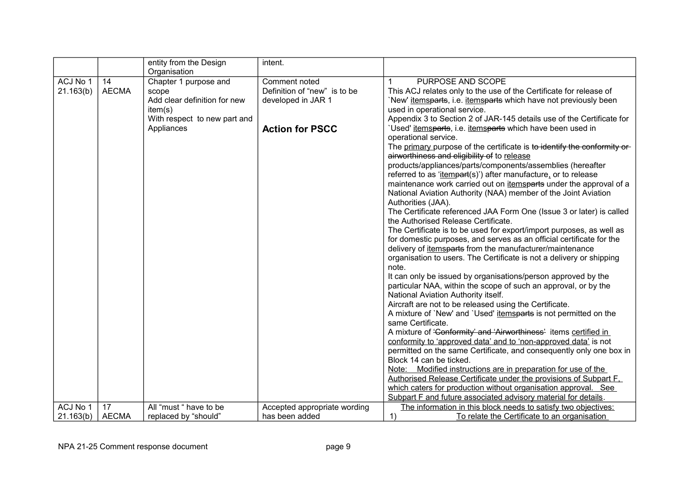|           |              | entity from the Design       | intent.                      |                                                                                    |
|-----------|--------------|------------------------------|------------------------------|------------------------------------------------------------------------------------|
|           |              | Organisation                 |                              |                                                                                    |
| ACJ No 1  | 14           | Chapter 1 purpose and        | Comment noted                | PURPOSE AND SCOPE                                                                  |
| 21.163(b) | <b>AECMA</b> | scope                        | Definition of "new" is to be | This ACJ relates only to the use of the Certificate for release of                 |
|           |              | Add clear definition for new | developed in JAR 1           | 'New' itemsparts, i.e. itemsparts which have not previously been                   |
|           |              | item(s)                      |                              | used in operational service.                                                       |
|           |              | With respect to new part and |                              | Appendix 3 to Section 2 of JAR-145 details use of the Certificate for              |
|           |              | Appliances                   | <b>Action for PSCC</b>       | 'Used' itemsparts, i.e. itemsparts which have been used in<br>operational service. |
|           |              |                              |                              | The primary purpose of the certificate is to identify the conformity or            |
|           |              |                              |                              | airworthiness and eligibility of to release                                        |
|           |              |                              |                              | products/appliances/parts/components/assemblies (hereafter                         |
|           |              |                              |                              | referred to as 'itempart(s)') after manufacture, or to release                     |
|           |              |                              |                              | maintenance work carried out on itemsparts under the approval of a                 |
|           |              |                              |                              | National Aviation Authority (NAA) member of the Joint Aviation                     |
|           |              |                              |                              | Authorities (JAA).                                                                 |
|           |              |                              |                              | The Certificate referenced JAA Form One (Issue 3 or later) is called               |
|           |              |                              |                              | the Authorised Release Certificate.                                                |
|           |              |                              |                              | The Certificate is to be used for export/import purposes, as well as               |
|           |              |                              |                              | for domestic purposes, and serves as an official certificate for the               |
|           |              |                              |                              | delivery of <i>itemsparts</i> from the manufacturer/maintenance                    |
|           |              |                              |                              | organisation to users. The Certificate is not a delivery or shipping               |
|           |              |                              |                              | note.                                                                              |
|           |              |                              |                              | It can only be issued by organisations/person approved by the                      |
|           |              |                              |                              | particular NAA, within the scope of such an approval, or by the                    |
|           |              |                              |                              | National Aviation Authority itself.                                                |
|           |              |                              |                              | Aircraft are not to be released using the Certificate.                             |
|           |              |                              |                              | A mixture of `New' and `Used' itemsparts is not permitted on the                   |
|           |              |                              |                              | same Certificate.                                                                  |
|           |              |                              |                              | A mixture of 'Conformity' and 'Airworthiness' items certified in                   |
|           |              |                              |                              | conformity to 'approved data' and to 'non-approved data' is not                    |
|           |              |                              |                              | permitted on the same Certificate, and consequently only one box in                |
|           |              |                              |                              | Block 14 can be ticked.                                                            |
|           |              |                              |                              | Modified instructions are in preparation for use of the<br>Note:                   |
|           |              |                              |                              | Authorised Release Certificate under the provisions of Subpart F.                  |
|           |              |                              |                              | which caters for production without organisation approval. See                     |
|           |              |                              |                              | Subpart F and future associated advisory material for details.                     |
| ACJ No 1  | 17           | All "must " have to be       | Accepted appropriate wording | The information in this block needs to satisfy two objectives:                     |
| 21.163(b) | <b>AECMA</b> | replaced by "should"         | has been added               | 1)<br>To relate the Certificate to an organisation                                 |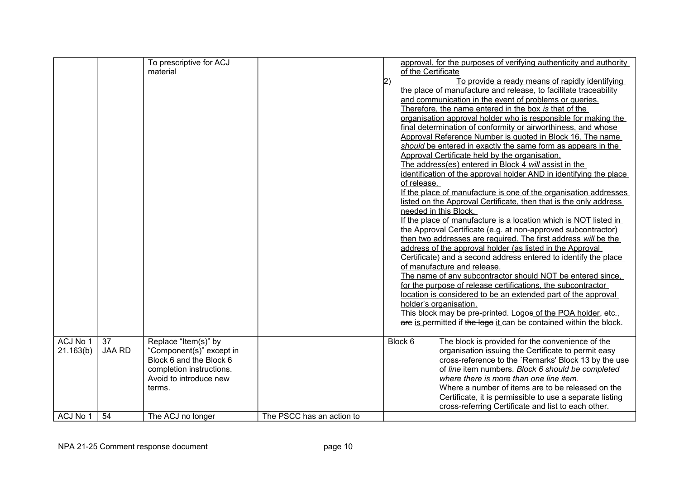|           |               | To prescriptive for ACJ  |                           |    | approval, for the purposes of verifying authenticity and authority |
|-----------|---------------|--------------------------|---------------------------|----|--------------------------------------------------------------------|
|           |               | material                 |                           |    | of the Certificate                                                 |
|           |               |                          |                           | 2) | To provide a ready means of rapidly identifying                    |
|           |               |                          |                           |    | the place of manufacture and release, to facilitate traceability   |
|           |               |                          |                           |    | and communication in the event of problems or queries.             |
|           |               |                          |                           |    | Therefore, the name entered in the box is that of the              |
|           |               |                          |                           |    | organisation approval holder who is responsible for making the     |
|           |               |                          |                           |    | final determination of conformity or airworthiness, and whose      |
|           |               |                          |                           |    | Approval Reference Number is quoted in Block 16. The name          |
|           |               |                          |                           |    | should be entered in exactly the same form as appears in the       |
|           |               |                          |                           |    | Approval Certificate held by the organisation.                     |
|           |               |                          |                           |    | The address(es) entered in Block 4 will assist in the              |
|           |               |                          |                           |    | identification of the approval holder AND in identifying the place |
|           |               |                          |                           |    | of release.                                                        |
|           |               |                          |                           |    | If the place of manufacture is one of the organisation addresses   |
|           |               |                          |                           |    | listed on the Approval Certificate, then that is the only address  |
|           |               |                          |                           |    | needed in this Block.                                              |
|           |               |                          |                           |    | If the place of manufacture is a location which is NOT listed in   |
|           |               |                          |                           |    | the Approval Certificate (e.g. at non-approved subcontractor)      |
|           |               |                          |                           |    | then two addresses are required. The first address will be the     |
|           |               |                          |                           |    | address of the approval holder (as listed in the Approval          |
|           |               |                          |                           |    | Certificate) and a second address entered to identify the place    |
|           |               |                          |                           |    | of manufacture and release.                                        |
|           |               |                          |                           |    | The name of any subcontractor should NOT be entered since.         |
|           |               |                          |                           |    | for the purpose of release certifications, the subcontractor       |
|           |               |                          |                           |    | location is considered to be an extended part of the approval      |
|           |               |                          |                           |    | holder's organisation.                                             |
|           |               |                          |                           |    | This block may be pre-printed. Logos of the POA holder, etc.,      |
|           |               |                          |                           |    | are is permitted if the logo it can be contained within the block. |
|           |               |                          |                           |    |                                                                    |
| ACJ No 1  | 37            | Replace "Item(s)" by     |                           |    | Block 6<br>The block is provided for the convenience of the        |
| 21.163(b) | <b>JAA RD</b> | "Component(s)" except in |                           |    | organisation issuing the Certificate to permit easy                |
|           |               | Block 6 and the Block 6  |                           |    | cross-reference to the `Remarks' Block 13 by the use               |
|           |               | completion instructions. |                           |    | of line item numbers. Block 6 should be completed                  |
|           |               | Avoid to introduce new   |                           |    | where there is more than one line item.                            |
|           |               | terms.                   |                           |    | Where a number of items are to be released on the                  |
|           |               |                          |                           |    | Certificate, it is permissible to use a separate listing           |
|           |               |                          |                           |    | cross-referring Certificate and list to each other.                |
| ACJ No 1  | 54            | The ACJ no longer        | The PSCC has an action to |    |                                                                    |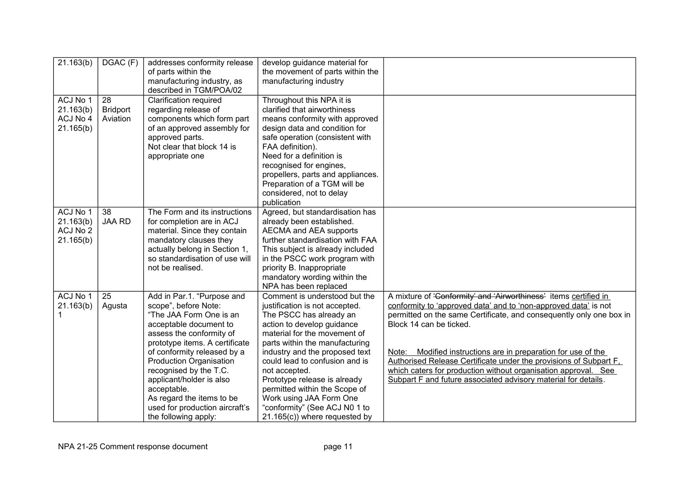| 21.163(b)                                      | DGAC (F)                          | addresses conformity release<br>of parts within the<br>manufacturing industry, as<br>described in TGM/POA/02                                                                                                                                                                                                                                                                                       | develop guidance material for<br>the movement of parts within the<br>manufacturing industry                                                                                                                                                                                                                                                                                                                                                      |                                                                                                                                                                                                                                                                                                                                                                                                                                                                                                                    |
|------------------------------------------------|-----------------------------------|----------------------------------------------------------------------------------------------------------------------------------------------------------------------------------------------------------------------------------------------------------------------------------------------------------------------------------------------------------------------------------------------------|--------------------------------------------------------------------------------------------------------------------------------------------------------------------------------------------------------------------------------------------------------------------------------------------------------------------------------------------------------------------------------------------------------------------------------------------------|--------------------------------------------------------------------------------------------------------------------------------------------------------------------------------------------------------------------------------------------------------------------------------------------------------------------------------------------------------------------------------------------------------------------------------------------------------------------------------------------------------------------|
| ACJ No 1<br>21.163(b)<br>ACJ No 4<br>21.165(b) | 28<br><b>Bridport</b><br>Aviation | <b>Clarification required</b><br>regarding release of<br>components which form part<br>of an approved assembly for<br>approved parts.<br>Not clear that block 14 is<br>appropriate one                                                                                                                                                                                                             | Throughout this NPA it is<br>clarified that airworthiness<br>means conformity with approved<br>design data and condition for<br>safe operation (consistent with<br>FAA definition).<br>Need for a definition is<br>recognised for engines,<br>propellers, parts and appliances.<br>Preparation of a TGM will be<br>considered, not to delay<br>publication                                                                                       |                                                                                                                                                                                                                                                                                                                                                                                                                                                                                                                    |
| ACJ No 1<br>21.163(b)<br>ACJ No 2<br>21.165(b) | 38<br><b>JAA RD</b>               | The Form and its instructions<br>for completion are in ACJ<br>material. Since they contain<br>mandatory clauses they<br>actually belong in Section 1,<br>so standardisation of use will<br>not be realised.                                                                                                                                                                                        | Agreed, but standardisation has<br>already been established.<br>AECMA and AEA supports<br>further standardisation with FAA<br>This subject is already included<br>in the PSCC work program with<br>priority B. Inappropriate<br>mandatory wording within the<br>NPA has been replaced                                                                                                                                                            |                                                                                                                                                                                                                                                                                                                                                                                                                                                                                                                    |
| ACJ No 1<br>21.163(b)                          | 25<br>Agusta                      | Add in Par.1. "Purpose and<br>scope", before Note:<br>"The JAA Form One is an<br>acceptable document to<br>assess the conformity of<br>prototype items. A certificate<br>of conformity released by a<br><b>Production Organisation</b><br>recognised by the T.C.<br>applicant/holder is also<br>acceptable.<br>As regard the items to be<br>used for production aircraft's<br>the following apply: | Comment is understood but the<br>justification is not accepted.<br>The PSCC has already an<br>action to develop guidance<br>material for the movement of<br>parts within the manufacturing<br>industry and the proposed text<br>could lead to confusion and is<br>not accepted.<br>Prototype release is already<br>permitted within the Scope of<br>Work using JAA Form One<br>"conformity" (See ACJ N0 1 to<br>$21.165(c)$ ) where requested by | A mixture of 'Conformity' and 'Airworthiness' items certified in<br>conformity to 'approved data' and to 'non-approved data' is not<br>permitted on the same Certificate, and consequently only one box in<br>Block 14 can be ticked.<br>Modified instructions are in preparation for use of the<br>Note:<br>Authorised Release Certificate under the provisions of Subpart F.<br>which caters for production without organisation approval. See<br>Subpart F and future associated advisory material for details. |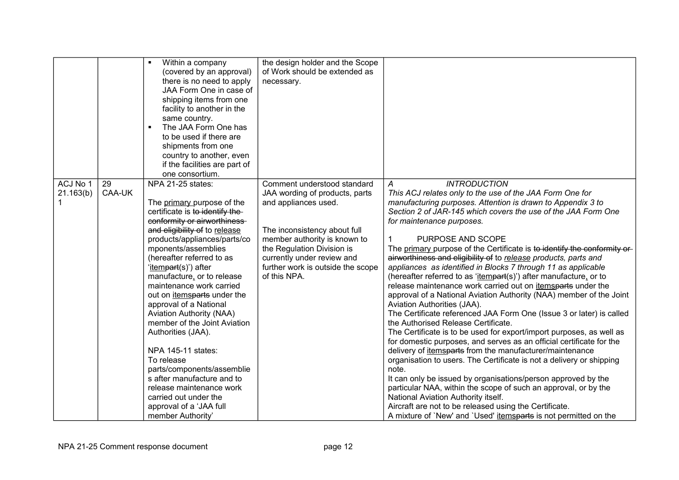|           |        | $\blacksquare$<br>Within a company    | the design holder and the Scope   |                                                                          |
|-----------|--------|---------------------------------------|-----------------------------------|--------------------------------------------------------------------------|
|           |        | (covered by an approval)              | of Work should be extended as     |                                                                          |
|           |        | there is no need to apply             | necessary.                        |                                                                          |
|           |        | JAA Form One in case of               |                                   |                                                                          |
|           |        | shipping items from one               |                                   |                                                                          |
|           |        | facility to another in the            |                                   |                                                                          |
|           |        |                                       |                                   |                                                                          |
|           |        | same country.<br>The JAA Form One has |                                   |                                                                          |
|           |        |                                       |                                   |                                                                          |
|           |        | to be used if there are               |                                   |                                                                          |
|           |        | shipments from one                    |                                   |                                                                          |
|           |        | country to another, even              |                                   |                                                                          |
|           |        | if the facilities are part of         |                                   |                                                                          |
|           |        | one consortium.                       |                                   |                                                                          |
| ACJ No 1  | 29     | NPA 21-25 states:                     | Comment understood standard       | <b>INTRODUCTION</b><br>А                                                 |
| 21.163(b) | CAA-UK |                                       | JAA wording of products, parts    | This ACJ relates only to the use of the JAA Form One for                 |
|           |        | The primary purpose of the            | and appliances used.              | manufacturing purposes. Attention is drawn to Appendix 3 to              |
|           |        | certificate is to identify the-       |                                   | Section 2 of JAR-145 which covers the use of the JAA Form One            |
|           |        | conformity or airworthiness           |                                   | for maintenance purposes.                                                |
|           |        | and eligibility of to release         | The inconsistency about full      |                                                                          |
|           |        | products/appliances/parts/co          | member authority is known to      | PURPOSE AND SCOPE                                                        |
|           |        | mponents/assemblies                   | the Regulation Division is        | The primary purpose of the Certificate is to identify the conformity or- |
|           |        | (hereafter referred to as             | currently under review and        | airworthiness and eligibility of to release products, parts and          |
|           |        | 'itempart(s)') after                  | further work is outside the scope | appliances as identified in Blocks 7 through 11 as applicable            |
|           |        | manufacture, or to release            | of this NPA.                      | (hereafter referred to as 'itempart(s)') after manufacture, or to        |
|           |        | maintenance work carried              |                                   | release maintenance work carried out on itemsparts under the             |
|           |        | out on <i>itemsparts</i> under the    |                                   | approval of a National Aviation Authority (NAA) member of the Joint      |
|           |        | approval of a National                |                                   | Aviation Authorities (JAA).                                              |
|           |        | <b>Aviation Authority (NAA)</b>       |                                   | The Certificate referenced JAA Form One (Issue 3 or later) is called     |
|           |        | member of the Joint Aviation          |                                   | the Authorised Release Certificate.                                      |
|           |        | Authorities (JAA).                    |                                   | The Certificate is to be used for export/import purposes, as well as     |
|           |        |                                       |                                   | for domestic purposes, and serves as an official certificate for the     |
|           |        | NPA 145-11 states:                    |                                   | delivery of <i>itemsparts</i> from the manufacturer/maintenance          |
|           |        | To release                            |                                   | organisation to users. The Certificate is not a delivery or shipping     |
|           |        | parts/components/assemblie            |                                   | note.                                                                    |
|           |        | s after manufacture and to            |                                   | It can only be issued by organisations/person approved by the            |
|           |        | release maintenance work              |                                   | particular NAA, within the scope of such an approval, or by the          |
|           |        | carried out under the                 |                                   | National Aviation Authority itself.                                      |
|           |        | approval of a 'JAA full               |                                   | Aircraft are not to be released using the Certificate.                   |
|           |        | member Authority'                     |                                   | A mixture of `New' and `Used' itemsparts is not permitted on the         |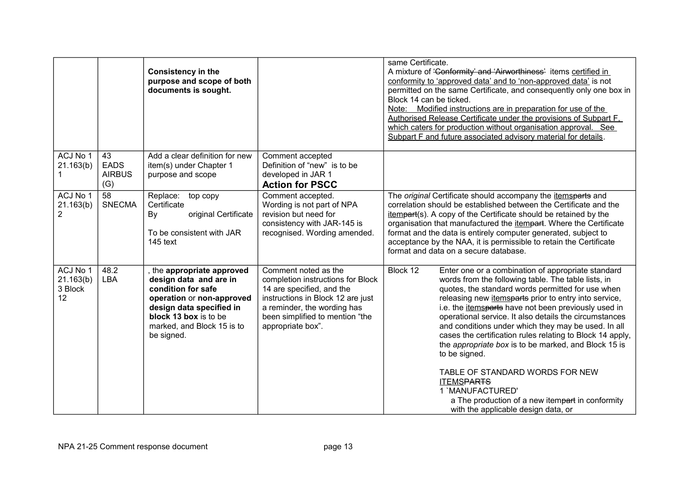|                                        |                                           | <b>Consistency in the</b><br>purpose and scope of both<br>documents is sought.                                                                                                                         |                                                                                                                                                                                                                    | same Certificate.<br>A mixture of 'Conformity' and 'Airworthiness' items certified in<br>conformity to 'approved data' and to 'non-approved data' is not<br>permitted on the same Certificate, and consequently only one box in<br>Block 14 can be ticked.<br>Note: Modified instructions are in preparation for use of the<br>Authorised Release Certificate under the provisions of Subpart F.<br>which caters for production without organisation approval. See<br>Subpart F and future associated advisory material for details.                                                                                                                                                                                                    |
|----------------------------------------|-------------------------------------------|--------------------------------------------------------------------------------------------------------------------------------------------------------------------------------------------------------|--------------------------------------------------------------------------------------------------------------------------------------------------------------------------------------------------------------------|-----------------------------------------------------------------------------------------------------------------------------------------------------------------------------------------------------------------------------------------------------------------------------------------------------------------------------------------------------------------------------------------------------------------------------------------------------------------------------------------------------------------------------------------------------------------------------------------------------------------------------------------------------------------------------------------------------------------------------------------|
| ACJ No 1<br>21.163(b)                  | 43<br><b>EADS</b><br><b>AIRBUS</b><br>(G) | Add a clear definition for new<br>item(s) under Chapter 1<br>purpose and scope                                                                                                                         | Comment accepted<br>Definition of "new" is to be<br>developed in JAR 1<br><b>Action for PSCC</b>                                                                                                                   |                                                                                                                                                                                                                                                                                                                                                                                                                                                                                                                                                                                                                                                                                                                                         |
| ACJ No 1<br>21.163(b)<br>2             | $\overline{58}$<br><b>SNECMA</b>          | Replace: top copy<br>Certificate<br>original Certificate<br>By<br>To be consistent with JAR<br>$145$ text                                                                                              | Comment accepted.<br>Wording is not part of NPA<br>revision but need for<br>consistency with JAR-145 is<br>recognised. Wording amended.                                                                            | The original Certificate should accompany the itemsparts and<br>correlation should be established between the Certificate and the<br>itempart(s). A copy of the Certificate should be retained by the<br>organisation that manufactured the <i>itempart</i> . Where the Certificate<br>format and the data is entirely computer generated, subject to<br>acceptance by the NAA, it is permissible to retain the Certificate<br>format and data on a secure database.                                                                                                                                                                                                                                                                    |
| ACJ No 1<br>21.163(b)<br>3 Block<br>12 | 48.2<br><b>LBA</b>                        | the appropriate approved<br>design data and are in<br>condition for safe<br>operation or non-approved<br>design data specified in<br>block 13 box is to be<br>marked, and Block 15 is to<br>be signed. | Comment noted as the<br>completion instructions for Block<br>14 are specified, and the<br>instructions in Block 12 are just<br>a reminder, the wording has<br>been simplified to mention "the<br>appropriate box". | Block 12<br>Enter one or a combination of appropriate standard<br>words from the following table. The table lists, in<br>quotes, the standard words permitted for use when<br>releasing new <i>itemsparts</i> prior to entry into service,<br>i.e. the <i>itemsparts</i> have not been previously used in<br>operational service. It also details the circumstances<br>and conditions under which they may be used. In all<br>cases the certification rules relating to Block 14 apply,<br>the appropriate box is to be marked, and Block 15 is<br>to be signed.<br>TABLE OF STANDARD WORDS FOR NEW<br><b>ITEMSPARTS</b><br>1 'MANUFACTURED'<br>a The production of a new itempart in conformity<br>with the applicable design data, or |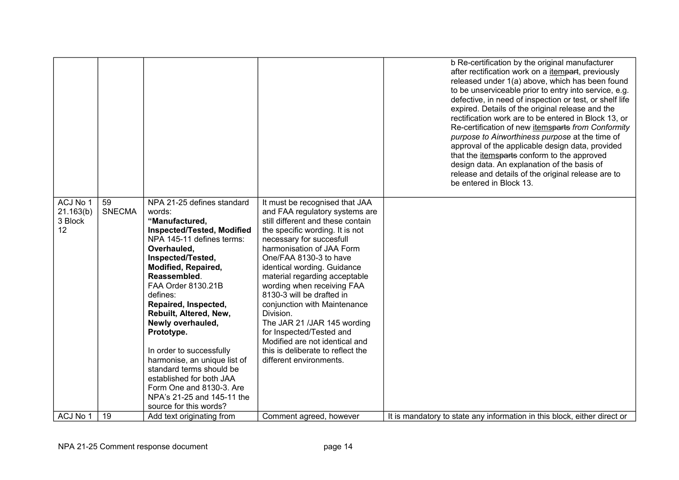|                                        |                     |                                                                                                                                                                                                                                                                                                                                                                                                                                                                                                                                    |                                                                                                                                                                                                                                                                                                                                                                                                                                                                                                                                                                  | b Re-certification by the original manufacturer<br>after rectification work on a <i>itempart</i> , previously<br>released under 1(a) above, which has been found<br>to be unserviceable prior to entry into service, e.g.<br>defective, in need of inspection or test, or shelf life<br>expired. Details of the original release and the<br>rectification work are to be entered in Block 13, or<br>Re-certification of new itemsparts from Conformity<br>purpose to Airworthiness purpose at the time of<br>approval of the applicable design data, provided<br>that the <i>itemsparts</i> conform to the approved<br>design data. An explanation of the basis of<br>release and details of the original release are to<br>be entered in Block 13. |
|----------------------------------------|---------------------|------------------------------------------------------------------------------------------------------------------------------------------------------------------------------------------------------------------------------------------------------------------------------------------------------------------------------------------------------------------------------------------------------------------------------------------------------------------------------------------------------------------------------------|------------------------------------------------------------------------------------------------------------------------------------------------------------------------------------------------------------------------------------------------------------------------------------------------------------------------------------------------------------------------------------------------------------------------------------------------------------------------------------------------------------------------------------------------------------------|-----------------------------------------------------------------------------------------------------------------------------------------------------------------------------------------------------------------------------------------------------------------------------------------------------------------------------------------------------------------------------------------------------------------------------------------------------------------------------------------------------------------------------------------------------------------------------------------------------------------------------------------------------------------------------------------------------------------------------------------------------|
| ACJ No 1<br>21.163(b)<br>3 Block<br>12 | 59<br><b>SNECMA</b> | NPA 21-25 defines standard<br>words:<br>"Manufactured,<br><b>Inspected/Tested, Modified</b><br>NPA 145-11 defines terms:<br>Overhauled,<br>Inspected/Tested,<br>Modified, Repaired,<br>Reassembled.<br>FAA Order 8130.21B<br>defines:<br>Repaired, Inspected,<br>Rebuilt, Altered, New,<br>Newly overhauled,<br>Prototype.<br>In order to successfully<br>harmonise, an unique list of<br>standard terms should be<br>established for both JAA<br>Form One and 8130-3. Are<br>NPA's 21-25 and 145-11 the<br>source for this words? | It must be recognised that JAA<br>and FAA regulatory systems are<br>still different and these contain<br>the specific wording. It is not<br>necessary for succesfull<br>harmonisation of JAA Form<br>One/FAA 8130-3 to have<br>identical wording. Guidance<br>material regarding acceptable<br>wording when receiving FAA<br>8130-3 will be drafted in<br>conjunction with Maintenance<br>Division.<br>The JAR 21 /JAR 145 wording<br>for Inspected/Tested and<br>Modified are not identical and<br>this is deliberate to reflect the<br>different environments. |                                                                                                                                                                                                                                                                                                                                                                                                                                                                                                                                                                                                                                                                                                                                                     |
| ACJ No 1                               | 19                  | Add text originating from                                                                                                                                                                                                                                                                                                                                                                                                                                                                                                          | Comment agreed, however                                                                                                                                                                                                                                                                                                                                                                                                                                                                                                                                          | It is mandatory to state any information in this block, either direct or                                                                                                                                                                                                                                                                                                                                                                                                                                                                                                                                                                                                                                                                            |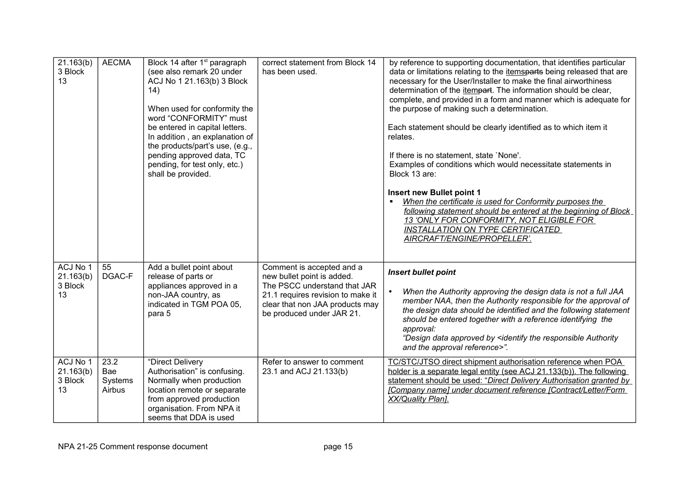| 21.163(b)<br>3 Block<br>13             | <b>AECMA</b>                     | Block 14 after 1 <sup>st</sup> paragraph<br>(see also remark 20 under<br>ACJ No 1 21.163(b) 3 Block<br>(14)<br>When used for conformity the<br>word "CONFORMITY" must<br>be entered in capital letters.<br>In addition, an explanation of<br>the products/part's use, (e.g.,<br>pending approved data, TC<br>pending, for test only, etc.)<br>shall be provided. | correct statement from Block 14<br>has been used.                                                                                                                                            | by reference to supporting documentation, that identifies particular<br>data or limitations relating to the <i>itemsparts</i> being released that are<br>necessary for the User/Installer to make the final airworthiness<br>determination of the itempart. The information should be clear,<br>complete, and provided in a form and manner which is adequate for<br>the purpose of making such a determination.<br>Each statement should be clearly identified as to which item it<br>relates.<br>If there is no statement, state 'None'.<br>Examples of conditions which would necessitate statements in<br>Block 13 are:<br>Insert new Bullet point 1<br>When the certificate is used for Conformity purposes the |
|----------------------------------------|----------------------------------|------------------------------------------------------------------------------------------------------------------------------------------------------------------------------------------------------------------------------------------------------------------------------------------------------------------------------------------------------------------|----------------------------------------------------------------------------------------------------------------------------------------------------------------------------------------------|----------------------------------------------------------------------------------------------------------------------------------------------------------------------------------------------------------------------------------------------------------------------------------------------------------------------------------------------------------------------------------------------------------------------------------------------------------------------------------------------------------------------------------------------------------------------------------------------------------------------------------------------------------------------------------------------------------------------|
|                                        |                                  |                                                                                                                                                                                                                                                                                                                                                                  |                                                                                                                                                                                              | following statement should be entered at the beginning of Block<br>13 'ONLY FOR CONFORMITY, NOT ELIGIBLE FOR<br><b>INSTALLATION ON TYPE CERTIFICATED</b><br>AIRCRAFT/ENGINE/PROPELLER'.                                                                                                                                                                                                                                                                                                                                                                                                                                                                                                                              |
| ACJ No 1<br>21.163(b)<br>3 Block<br>13 | 55<br>DGAC-F                     | Add a bullet point about<br>release of parts or<br>appliances approved in a<br>non-JAA country, as<br>indicated in TGM POA 05,<br>para 5                                                                                                                                                                                                                         | Comment is accepted and a<br>new bullet point is added.<br>The PSCC understand that JAR<br>21.1 requires revision to make it<br>clear that non JAA products may<br>be produced under JAR 21. | <b>Insert bullet point</b><br>When the Authority approving the design data is not a full JAA<br>member NAA, then the Authority responsible for the approval of<br>the design data should be identified and the following statement<br>should be entered together with a reference identifying the<br>approval:<br>"Design data approved by <identify authority<br="" responsible="" the="">and the approval reference&gt;".</identify>                                                                                                                                                                                                                                                                               |
| ACJ No 1<br>21.163(b)<br>3 Block<br>13 | 23.2<br>Bae<br>Systems<br>Airbus | "Direct Delivery<br>Authorisation" is confusing.<br>Normally when production<br>location remote or separate<br>from approved production<br>organisation. From NPA it<br>seems that DDA is used                                                                                                                                                                   | Refer to answer to comment<br>23.1 and ACJ 21.133(b)                                                                                                                                         | TC/STC/JTSO direct shipment authorisation reference when POA<br>holder is a separate legal entity (see ACJ 21.133(b)). The following<br>statement should be used: "Direct Delivery Authorisation granted by<br>[Company name] under document reference [Contract/Letter/Form<br>XX/Quality Plan].                                                                                                                                                                                                                                                                                                                                                                                                                    |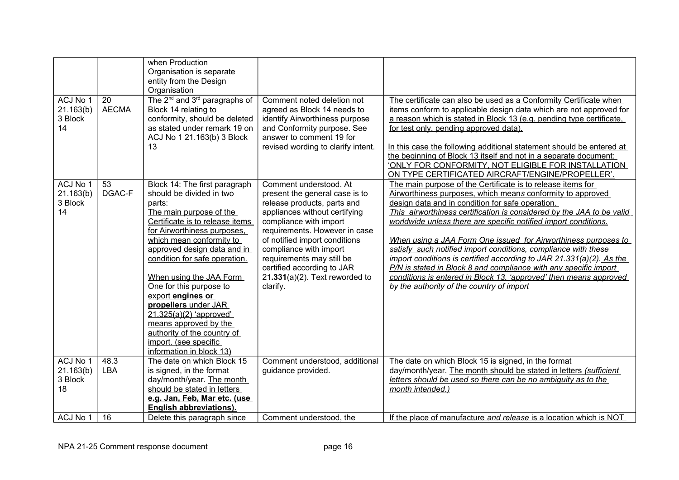|                                        |                    | when Production<br>Organisation is separate<br>entity from the Design<br>Organisation                                                                                                                                                                                                                                                                                                                                                                                                                     |                                                                                                                                                                                                                                                                                                                                                            |                                                                                                                                                                                                                                                                                                                                                                                                                                                                                                                                                                                                                                                                                                                             |
|----------------------------------------|--------------------|-----------------------------------------------------------------------------------------------------------------------------------------------------------------------------------------------------------------------------------------------------------------------------------------------------------------------------------------------------------------------------------------------------------------------------------------------------------------------------------------------------------|------------------------------------------------------------------------------------------------------------------------------------------------------------------------------------------------------------------------------------------------------------------------------------------------------------------------------------------------------------|-----------------------------------------------------------------------------------------------------------------------------------------------------------------------------------------------------------------------------------------------------------------------------------------------------------------------------------------------------------------------------------------------------------------------------------------------------------------------------------------------------------------------------------------------------------------------------------------------------------------------------------------------------------------------------------------------------------------------------|
| ACJ No 1<br>21.163(b)<br>3 Block<br>14 | 20<br><b>AECMA</b> | The 2 <sup>nd</sup> and 3 <sup>rd</sup> paragraphs of<br>Block 14 relating to<br>conformity, should be deleted<br>as stated under remark 19 on<br>ACJ No 1 21.163(b) 3 Block<br>13                                                                                                                                                                                                                                                                                                                        | Comment noted deletion not<br>agreed as Block 14 needs to<br>identify Airworthiness purpose<br>and Conformity purpose. See<br>answer to comment 19 for<br>revised wording to clarify intent.                                                                                                                                                               | The certificate can also be used as a Conformity Certificate when<br>items conform to applicable design data which are not approved for<br>a reason which is stated in Block 13 (e.g. pending type certificate,<br>for test only, pending approved data).<br>In this case the following additional statement should be entered at<br>the beginning of Block 13 itself and not in a separate document:<br>'ONLY FOR CONFORMITY, NOT ELIGIBLE FOR INSTALLATION<br>ON TYPE CERTIFICATED AIRCRAFT/ENGINE/PROPELLER'.                                                                                                                                                                                                            |
| ACJ No 1<br>21.163(b)<br>3 Block<br>14 | 53<br>DGAC-F       | Block 14: The first paragraph<br>should be divided in two<br>parts:<br>The main purpose of the<br>Certificate is to release items<br>for Airworthiness purposes,<br>which mean conformity to<br>approved design data and in<br>condition for safe operation.<br>When using the JAA Form<br>One for this purpose to<br>export engines or<br>propellers under JAR<br>$21.325(a)(2)$ 'approved'<br>means approved by the<br>authority of the country of<br>import. (see specific<br>information in block 13) | Comment understood. At<br>present the general case is to<br>release products, parts and<br>appliances without certifying<br>compliance with import<br>requirements. However in case<br>of notified import conditions<br>compliance with import<br>requirements may still be<br>certified according to JAR<br>$21.331(a)(2)$ . Text reworded to<br>clarify. | The main purpose of the Certificate is to release items for<br>Airworthiness purposes, which means conformity to approved<br>design data and in condition for safe operation.<br>This airworthiness certification is considered by the JAA to be valid<br>worldwide unless there are specific notified import conditions.<br>When using a JAA Form One issued for Airworthiness purposes to<br>satisfy such notified import conditions, compliance with these<br>import conditions is certified according to JAR 21.331(a)(2). As the<br>P/N is stated in Block 8 and compliance with any specific import<br>conditions is entered in Block 13, 'approved' then means approved<br>by the authority of the country of import |
| ACJ No 1<br>21.163(b)<br>3 Block<br>18 | 48.3<br><b>LBA</b> | The date on which Block 15<br>is signed, in the format<br>day/month/year. The month<br>should be stated in letters<br>e.g. Jan, Feb, Mar etc. (use<br><b>English abbreviations).</b>                                                                                                                                                                                                                                                                                                                      | Comment understood, additional<br>guidance provided.                                                                                                                                                                                                                                                                                                       | The date on which Block 15 is signed, in the format<br>day/month/year. The month should be stated in letters (sufficient<br>letters should be used so there can be no ambiguity as to the<br>month intended.)                                                                                                                                                                                                                                                                                                                                                                                                                                                                                                               |
| ACJ No 1                               | 16                 | Delete this paragraph since                                                                                                                                                                                                                                                                                                                                                                                                                                                                               | Comment understood, the                                                                                                                                                                                                                                                                                                                                    | If the place of manufacture and release is a location which is NOT                                                                                                                                                                                                                                                                                                                                                                                                                                                                                                                                                                                                                                                          |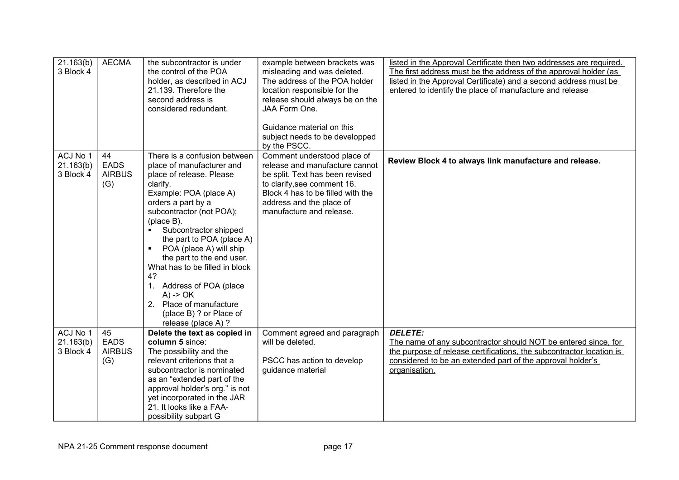| 21.163(b)<br>3 Block 4             | <b>AECMA</b>                              | the subcontractor is under<br>the control of the POA<br>holder, as described in ACJ<br>21.139. Therefore the<br>second address is<br>considered redundant.                                                                                                                                                                                                                                                                                                                                                     | example between brackets was<br>misleading and was deleted.<br>The address of the POA holder<br>location responsible for the<br>release should always be on the<br>JAA Form One.<br>Guidance material on this<br>subject needs to be developped<br>by the PSCC. | listed in the Approval Certificate then two addresses are required.<br>The first address must be the address of the approval holder (as<br>listed in the Approval Certificate) and a second address must be<br>entered to identify the place of manufacture and release |
|------------------------------------|-------------------------------------------|----------------------------------------------------------------------------------------------------------------------------------------------------------------------------------------------------------------------------------------------------------------------------------------------------------------------------------------------------------------------------------------------------------------------------------------------------------------------------------------------------------------|-----------------------------------------------------------------------------------------------------------------------------------------------------------------------------------------------------------------------------------------------------------------|-------------------------------------------------------------------------------------------------------------------------------------------------------------------------------------------------------------------------------------------------------------------------|
| ACJ No 1<br>21.163(b)<br>3 Block 4 | 44<br><b>EADS</b><br><b>AIRBUS</b><br>(G) | There is a confusion between<br>place of manufacturer and<br>place of release. Please<br>clarify.<br>Example: POA (place A)<br>orders a part by a<br>subcontractor (not POA);<br>(place B).<br>Subcontractor shipped<br>$\blacksquare$<br>the part to POA (place A)<br>POA (place A) will ship<br>$\blacksquare$<br>the part to the end user.<br>What has to be filled in block<br>4?<br>1. Address of POA (place<br>$A)$ -> $OK$<br>2. Place of manufacture<br>(place B) ? or Place of<br>release (place A) ? | Comment understood place of<br>release and manufacture cannot<br>be split. Text has been revised<br>to clarify, see comment 16.<br>Block 4 has to be filled with the<br>address and the place of<br>manufacture and release.                                    | Review Block 4 to always link manufacture and release.                                                                                                                                                                                                                  |
| ACJ No 1<br>21.163(b)<br>3 Block 4 | 45<br><b>EADS</b><br><b>AIRBUS</b><br>(G) | Delete the text as copied in<br>column 5 since:<br>The possibility and the<br>relevant criterions that a<br>subcontractor is nominated<br>as an "extended part of the<br>approval holder's org." is not<br>yet incorporated in the JAR<br>21. It looks like a FAA-<br>possibility subpart G                                                                                                                                                                                                                    | Comment agreed and paragraph<br>will be deleted.<br>PSCC has action to develop<br>guidance material                                                                                                                                                             | <b>DELETE:</b><br>The name of any subcontractor should NOT be entered since, for<br>the purpose of release certifications, the subcontractor location is<br>considered to be an extended part of the approval holder's<br>organisation.                                 |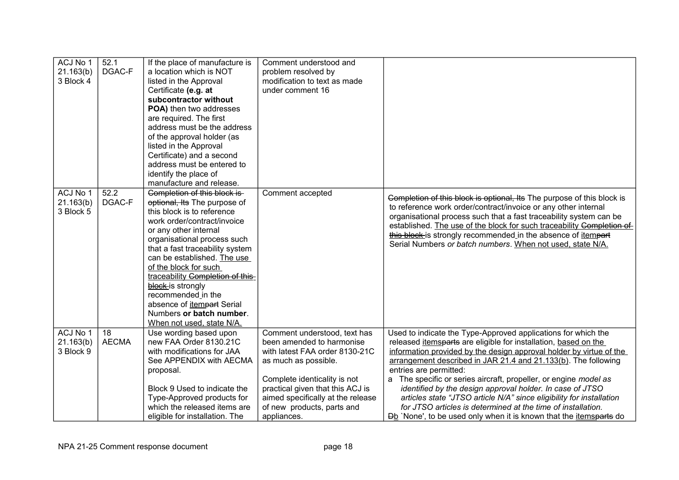| ACJ No 1<br>21.163(b)<br>3 Block 4 | 52.1<br>DGAC-F     | If the place of manufacture is<br>a location which is NOT<br>listed in the Approval<br>Certificate (e.g. at<br>subcontractor without<br>POA) then two addresses<br>are required. The first<br>address must be the address<br>of the approval holder (as<br>listed in the Approval<br>Certificate) and a second<br>address must be entered to<br>identify the place of                                                                                                                 | Comment understood and<br>problem resolved by<br>modification to text as made<br>under comment 16                                                                                                                                                                         |                                                                                                                                                                                                                                                                                                                                                                                                                                                                                                                                                                                                                                                                     |
|------------------------------------|--------------------|---------------------------------------------------------------------------------------------------------------------------------------------------------------------------------------------------------------------------------------------------------------------------------------------------------------------------------------------------------------------------------------------------------------------------------------------------------------------------------------|---------------------------------------------------------------------------------------------------------------------------------------------------------------------------------------------------------------------------------------------------------------------------|---------------------------------------------------------------------------------------------------------------------------------------------------------------------------------------------------------------------------------------------------------------------------------------------------------------------------------------------------------------------------------------------------------------------------------------------------------------------------------------------------------------------------------------------------------------------------------------------------------------------------------------------------------------------|
| ACJ No 1<br>21.163(b)<br>3 Block 5 | 52.2<br>DGAC-F     | manufacture and release.<br>Completion of this block is-<br>optional, Its The purpose of<br>this block is to reference<br>work order/contract/invoice<br>or any other internal<br>organisational process such<br>that a fast traceability system<br>can be established. The use<br>of the block for such<br>traceability Completion of this-<br>block-is strongly<br>recommended in the<br>absence of <i>itempart</i> Serial<br>Numbers or batch number.<br>When not used, state N/A. | Comment accepted                                                                                                                                                                                                                                                          | Completion of this block is optional, Its The purpose of this block is<br>to reference work order/contract/invoice or any other internal<br>organisational process such that a fast traceability system can be<br>established. The use of the block for such traceability Completion of<br>this block is strongly recommended in the absence of itempart<br>Serial Numbers or batch numbers. When not used, state N/A.                                                                                                                                                                                                                                              |
| ACJ No 1<br>21.163(b)<br>3 Block 9 | 18<br><b>AECMA</b> | Use wording based upon<br>new FAA Order 8130.21C<br>with modifications for JAA<br>See APPENDIX with AECMA<br>proposal.<br>Block 9 Used to indicate the<br>Type-Approved products for<br>which the released items are<br>eligible for installation. The                                                                                                                                                                                                                                | Comment understood, text has<br>been amended to harmonise<br>with latest FAA order 8130-21C<br>as much as possible.<br>Complete identicality is not<br>practical given that this ACJ is<br>aimed specifically at the release<br>of new products, parts and<br>appliances. | Used to indicate the Type-Approved applications for which the<br>released <i>itemsparts</i> are eligible for installation, based on the<br>information provided by the design approval holder by virtue of the<br>arrangement described in JAR 21.4 and 21.133(b). The following<br>entries are permitted:<br>The specific or series aircraft, propeller, or engine model as<br>a<br>identified by the design approval holder. In case of JTSO<br>articles state "JTSO article N/A" since eligibility for installation<br>for JTSO articles is determined at the time of installation.<br>Db 'None', to be used only when it is known that the <i>itemsparts</i> do |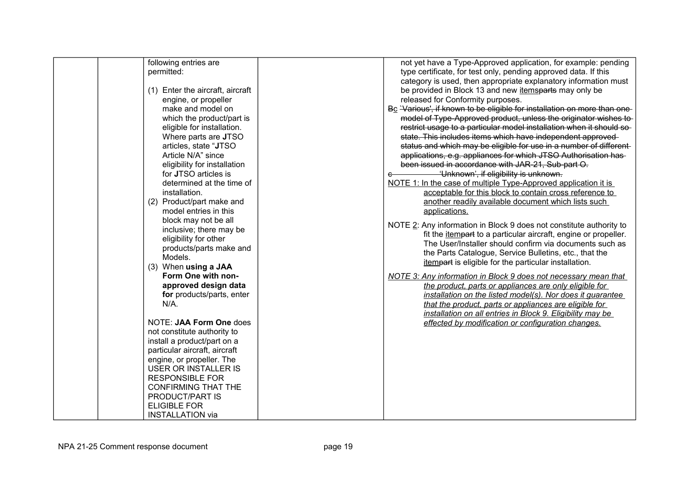| following entries are            | not yet have a Type-Approved application, for example: pending           |
|----------------------------------|--------------------------------------------------------------------------|
| permitted:                       | type certificate, for test only, pending approved data. If this          |
|                                  | category is used, then appropriate explanatory information must          |
| (1) Enter the aircraft, aircraft | be provided in Block 13 and new itemsparts may only be                   |
| engine, or propeller             | released for Conformity purposes.                                        |
| make and model on                | Bc 'Various', if known to be eligible for installation on more than one- |
| which the product/part is        | model of Type-Approved product, unless the originator wishes to-         |
| eligible for installation.       | restrict usage to a particular model installation when it should so-     |
| Where parts are JTSO             | state. This includes items which have independent approved-              |
| articles, state "JTSO            |                                                                          |
| Article N/A" since               | status and which may be eligible for use in a number of different-       |
|                                  | applications, e.g. appliances for which JTSO Authorisation has-          |
| eligibility for installation     | been issued in accordance with JAR-21, Sub-part O.                       |
| for JTSO articles is             | 'Unknown', if eligibility is unknown.<br>e                               |
| determined at the time of        | NOTE 1: In the case of multiple Type-Approved application it is          |
| installation.                    | acceptable for this block to contain cross reference to                  |
| (2) Product/part make and        | another readily available document which lists such                      |
| model entries in this            | applications.                                                            |
| block may not be all             | NOTE 2: Any information in Block 9 does not constitute authority to      |
| inclusive; there may be          | fit the <i>itempart</i> to a particular aircraft, engine or propeller.   |
| eligibility for other            | The User/Installer should confirm via documents such as                  |
| products/parts make and          | the Parts Catalogue, Service Bulletins, etc., that the                   |
| Models.                          | itempart is eligible for the particular installation.                    |
| (3) When using a JAA             |                                                                          |
| Form One with non-               | NOTE 3: Any information in Block 9 does not necessary mean that          |
| approved design data             | the product, parts or appliances are only eligible for                   |
| for products/parts, enter        | installation on the listed model(s). Nor does it guarantee               |
| $N/A$ .                          | that the product, parts or appliances are eligible for                   |
|                                  | installation on all entries in Block 9. Eligibility may be               |
| NOTE: JAA Form One does          | effected by modification or configuration changes.                       |
| not constitute authority to      |                                                                          |
| install a product/part on a      |                                                                          |
| particular aircraft, aircraft    |                                                                          |
| engine, or propeller. The        |                                                                          |
| <b>USER OR INSTALLER IS</b>      |                                                                          |
| <b>RESPONSIBLE FOR</b>           |                                                                          |
| <b>CONFIRMING THAT THE</b>       |                                                                          |
| PRODUCT/PART IS                  |                                                                          |
| <b>ELIGIBLE FOR</b>              |                                                                          |
| <b>INSTALLATION via</b>          |                                                                          |
|                                  |                                                                          |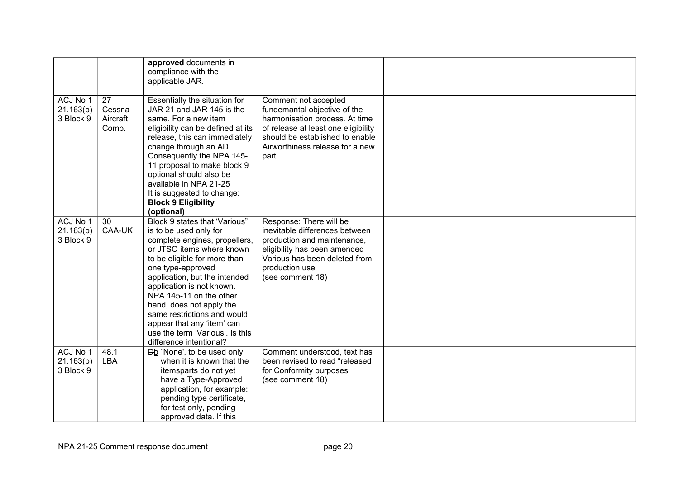|                                    |                                   | approved documents in<br>compliance with the<br>applicable JAR.                                                                                                                                                                                                                                                                                                                                                            |                                                                                                                                                                                                              |  |
|------------------------------------|-----------------------------------|----------------------------------------------------------------------------------------------------------------------------------------------------------------------------------------------------------------------------------------------------------------------------------------------------------------------------------------------------------------------------------------------------------------------------|--------------------------------------------------------------------------------------------------------------------------------------------------------------------------------------------------------------|--|
| ACJ No 1<br>21.163(b)<br>3 Block 9 | 27<br>Cessna<br>Aircraft<br>Comp. | Essentially the situation for<br>JAR 21 and JAR 145 is the<br>same. For a new item<br>eligibility can be defined at its<br>release, this can immediately<br>change through an AD.<br>Consequently the NPA 145-<br>11 proposal to make block 9<br>optional should also be<br>available in NPA 21-25<br>It is suggested to change:<br><b>Block 9 Eligibility</b><br>(optional)                                               | Comment not accepted<br>fundemantal objective of the<br>harmonisation process. At time<br>of release at least one eligibility<br>should be established to enable<br>Airworthiness release for a new<br>part. |  |
| ACJ No 1<br>21.163(b)<br>3 Block 9 | 30<br>CAA-UK                      | Block 9 states that 'Various"<br>is to be used only for<br>complete engines, propellers,<br>or JTSO items where known<br>to be eligible for more than<br>one type-approved<br>application, but the intended<br>application is not known.<br>NPA 145-11 on the other<br>hand, does not apply the<br>same restrictions and would<br>appear that any 'item' can<br>use the term 'Various'. Is this<br>difference intentional? | Response: There will be<br>inevitable differences between<br>production and maintenance,<br>eligibility has been amended<br>Various has been deleted from<br>production use<br>(see comment 18)              |  |
| ACJ No 1<br>21.163(b)<br>3 Block 9 | 48.1<br>LBA                       | <b>Db</b> `None', to be used only<br>when it is known that the<br>itemsparts do not yet<br>have a Type-Approved<br>application, for example:<br>pending type certificate,<br>for test only, pending<br>approved data. If this                                                                                                                                                                                              | Comment understood, text has<br>been revised to read "released<br>for Conformity purposes<br>(see comment 18)                                                                                                |  |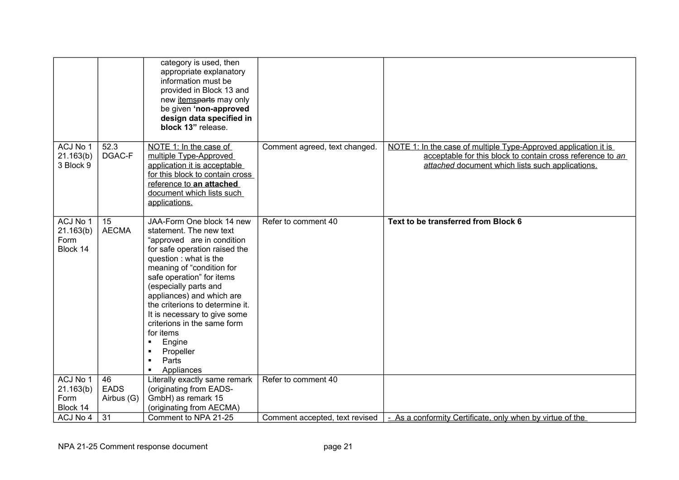|                                           |                    | category is used, then<br>appropriate explanatory<br>information must be<br>provided in Block 13 and<br>new <i>itemsparts</i> may only<br>be given 'non-approved<br>design data specified in<br>block 13" release.                                                                                                                                                                                                                                                                                |                                |                                                                                                                                                                                   |
|-------------------------------------------|--------------------|---------------------------------------------------------------------------------------------------------------------------------------------------------------------------------------------------------------------------------------------------------------------------------------------------------------------------------------------------------------------------------------------------------------------------------------------------------------------------------------------------|--------------------------------|-----------------------------------------------------------------------------------------------------------------------------------------------------------------------------------|
| ACJ No 1<br>21.163(b)<br>3 Block 9        | 52.3<br>DGAC-F     | NOTE 1: In the case of<br>multiple Type-Approved<br>application it is acceptable<br>for this block to contain cross<br>reference to an attached<br>document which lists such<br>applications.                                                                                                                                                                                                                                                                                                     | Comment agreed, text changed.  | NOTE 1: In the case of multiple Type-Approved application it is<br>acceptable for this block to contain cross reference to an<br>attached document which lists such applications. |
| ACJ No 1<br>21.163(b)<br>Form<br>Block 14 | 15<br><b>AECMA</b> | JAA-Form One block 14 new<br>statement. The new text<br>"approved are in condition<br>for safe operation raised the<br>question: what is the<br>meaning of "condition for<br>safe operation" for items<br>(especially parts and<br>appliances) and which are<br>the criterions to determine it.<br>It is necessary to give some<br>criterions in the same form<br>for items<br>Engine<br>$\blacksquare$<br>Propeller<br>$\blacksquare$<br>Parts<br>$\blacksquare$<br>Appliances<br>$\blacksquare$ | Refer to comment 40            | Text to be transferred from Block 6                                                                                                                                               |
| ACJ No 1                                  | 46                 | Literally exactly same remark                                                                                                                                                                                                                                                                                                                                                                                                                                                                     | Refer to comment 40            |                                                                                                                                                                                   |
| 21.163(b)                                 | <b>EADS</b>        | (originating from EADS-                                                                                                                                                                                                                                                                                                                                                                                                                                                                           |                                |                                                                                                                                                                                   |
| Form                                      | Airbus (G)         | GmbH) as remark 15                                                                                                                                                                                                                                                                                                                                                                                                                                                                                |                                |                                                                                                                                                                                   |
| Block 14<br>ACJ No 4                      | 31                 | (originating from AECMA)<br>Comment to NPA 21-25                                                                                                                                                                                                                                                                                                                                                                                                                                                  | Comment accepted, text revised | - As a conformity Certificate, only when by virtue of the                                                                                                                         |
|                                           |                    |                                                                                                                                                                                                                                                                                                                                                                                                                                                                                                   |                                |                                                                                                                                                                                   |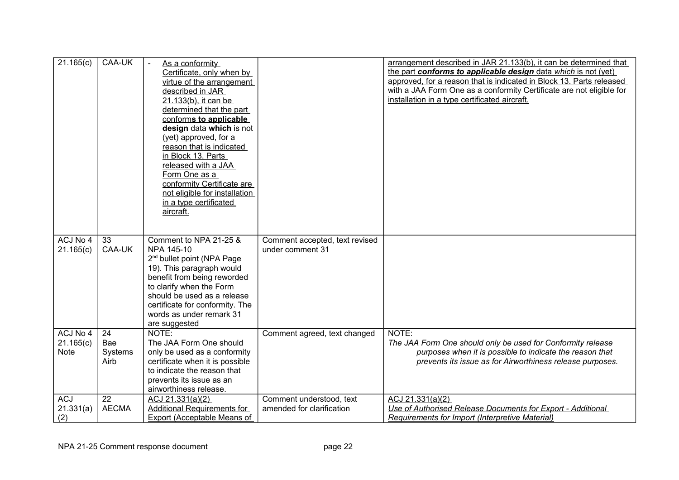| 21.165(c)                            | CAA-UK                       | As a conformity<br>Certificate, only when by<br>virtue of the arrangement<br>described in JAR<br>21.133(b), it can be<br>determined that the part<br>conforms to applicable<br>design data which is not<br>(yet) approved, for a<br>reason that is indicated<br>in Block 13. Parts<br>released with a JAA<br>Form One as a<br>conformity Certificate are<br>not eligible for installation<br>in a type certificated<br>aircraft. |                                                       | arrangement described in JAR 21.133(b), it can be determined that<br>the part conforms to applicable design data which is not (yet)<br>approved, for a reason that is indicated in Block 13. Parts released<br>with a JAA Form One as a conformity Certificate are not eligible for<br>installation in a type certificated aircraft. |
|--------------------------------------|------------------------------|----------------------------------------------------------------------------------------------------------------------------------------------------------------------------------------------------------------------------------------------------------------------------------------------------------------------------------------------------------------------------------------------------------------------------------|-------------------------------------------------------|--------------------------------------------------------------------------------------------------------------------------------------------------------------------------------------------------------------------------------------------------------------------------------------------------------------------------------------|
| ACJ No 4<br>21.165(c)                | 33<br>CAA-UK                 | Comment to NPA 21-25 &<br>NPA 145-10<br>2 <sup>nd</sup> bullet point (NPA Page<br>19). This paragraph would<br>benefit from being reworded<br>to clarify when the Form<br>should be used as a release<br>certificate for conformity. The<br>words as under remark 31<br>are suggested                                                                                                                                            | Comment accepted, text revised<br>under comment 31    |                                                                                                                                                                                                                                                                                                                                      |
| ACJ No 4<br>21.165(c)<br><b>Note</b> | 24<br>Bae<br>Systems<br>Airb | NOTE:<br>The JAA Form One should<br>only be used as a conformity<br>certificate when it is possible<br>to indicate the reason that<br>prevents its issue as an<br>airworthiness release.                                                                                                                                                                                                                                         | Comment agreed, text changed                          | NOTE:<br>The JAA Form One should only be used for Conformity release<br>purposes when it is possible to indicate the reason that<br>prevents its issue as for Airworthiness release purposes.                                                                                                                                        |
| <b>ACJ</b><br>21.331(a)<br>(2)       | 22<br><b>AECMA</b>           | ACJ 21.331(a)(2)<br><b>Additional Requirements for</b><br>Export (Acceptable Means of                                                                                                                                                                                                                                                                                                                                            | Comment understood, text<br>amended for clarification | ACJ 21.331(a)(2)<br>Use of Authorised Release Documents for Export - Additional<br>Requirements for Import (Interpretive Material)                                                                                                                                                                                                   |